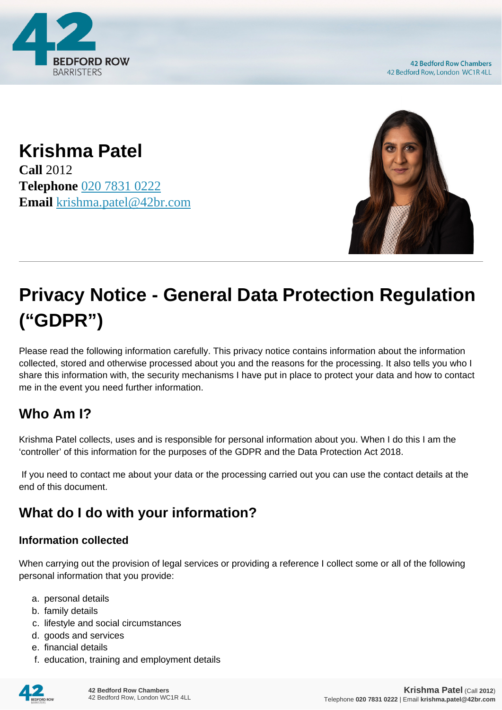

**42 Bedford Row Chambers** 42 Bedford Row, London WC1R 4LL

**Krishma Patel Call** 2012 **Telephone** [020 7831 0222](https://pdf.codeshore.co/_42br/tel:020 7831 0222) **Email** [krishma.patel@42br.com](mailto:krishma.patel@42br.com)



# **Privacy Notice - General Data Protection Regulation ("GDPR")**

Please read the following information carefully. This privacy notice contains information about the information collected, stored and otherwise processed about you and the reasons for the processing. It also tells you who I share this information with, the security mechanisms I have put in place to protect your data and how to contact me in the event you need further information.

# **Who Am I?**

Krishma Patel collects, uses and is responsible for personal information about you. When I do this I am the 'controller' of this information for the purposes of the GDPR and the Data Protection Act 2018.

 If you need to contact me about your data or the processing carried out you can use the contact details at the end of this document.

# **What do I do with your information?**

#### **Information collected**

When carrying out the provision of legal services or providing a reference I collect some or all of the following personal information that you provide:

- a. personal details
- b. family details
- c. lifestyle and social circumstances
- d. goods and services
- e. financial details
- f. education, training and employment details

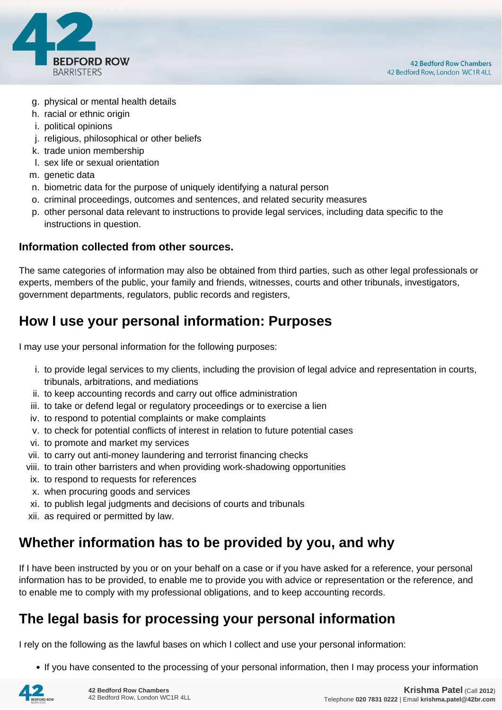

- g. physical or mental health details
- h. racial or ethnic origin
- i. political opinions
- j. religious, philosophical or other beliefs
- k. trade union membership
- l. sex life or sexual orientation
- m. genetic data
- n. biometric data for the purpose of uniquely identifying a natural person
- o. criminal proceedings, outcomes and sentences, and related security measures
- p. other personal data relevant to instructions to provide legal services, including data specific to the instructions in question.

#### **Information collected from other sources.**

The same categories of information may also be obtained from third parties, such as other legal professionals or experts, members of the public, your family and friends, witnesses, courts and other tribunals, investigators, government departments, regulators, public records and registers,

## **How I use your personal information: Purposes**

I may use your personal information for the following purposes:

- i. to provide legal services to my clients, including the provision of legal advice and representation in courts, tribunals, arbitrations, and mediations
- ii. to keep accounting records and carry out office administration
- iii. to take or defend legal or regulatory proceedings or to exercise a lien
- iv. to respond to potential complaints or make complaints
- v. to check for potential conflicts of interest in relation to future potential cases
- vi. to promote and market my services
- vii. to carry out anti-money laundering and terrorist financing checks
- viii. to train other barristers and when providing work-shadowing opportunities
- ix. to respond to requests for references
- x. when procuring goods and services
- xi. to publish legal judgments and decisions of courts and tribunals
- xii. as required or permitted by law.

## **Whether information has to be provided by you, and why**

If I have been instructed by you or on your behalf on a case or if you have asked for a reference, your personal information has to be provided, to enable me to provide you with advice or representation or the reference, and to enable me to comply with my professional obligations, and to keep accounting records.

## **The legal basis for processing your personal information**

I rely on the following as the lawful bases on which I collect and use your personal information:

• If you have consented to the processing of your personal information, then I may process your information

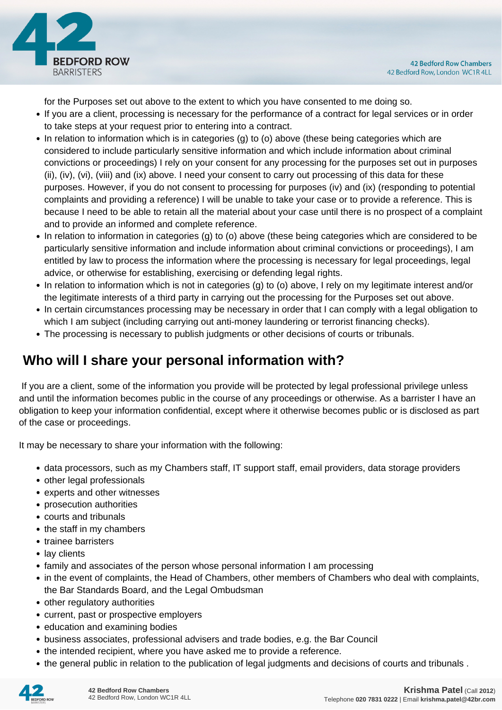

for the Purposes set out above to the extent to which you have consented to me doing so.

- If you are a client, processing is necessary for the performance of a contract for legal services or in order to take steps at your request prior to entering into a contract.
- In relation to information which is in categories (g) to (o) above (these being categories which are considered to include particularly sensitive information and which include information about criminal convictions or proceedings) I rely on your consent for any processing for the purposes set out in purposes (ii), (iv), (vi), (viii) and (ix) above. I need your consent to carry out processing of this data for these purposes. However, if you do not consent to processing for purposes (iv) and (ix) (responding to potential complaints and providing a reference) I will be unable to take your case or to provide a reference. This is because I need to be able to retain all the material about your case until there is no prospect of a complaint and to provide an informed and complete reference.
- In relation to information in categories (g) to (o) above (these being categories which are considered to be particularly sensitive information and include information about criminal convictions or proceedings), I am entitled by law to process the information where the processing is necessary for legal proceedings, legal advice, or otherwise for establishing, exercising or defending legal rights.
- In relation to information which is not in categories (g) to (o) above, I rely on my legitimate interest and/or the legitimate interests of a third party in carrying out the processing for the Purposes set out above.
- In certain circumstances processing may be necessary in order that I can comply with a legal obligation to which I am subject (including carrying out anti-money laundering or terrorist financing checks).
- The processing is necessary to publish judgments or other decisions of courts or tribunals.

# **Who will I share your personal information with?**

 If you are a client, some of the information you provide will be protected by legal professional privilege unless and until the information becomes public in the course of any proceedings or otherwise. As a barrister I have an obligation to keep your information confidential, except where it otherwise becomes public or is disclosed as part of the case or proceedings.

It may be necessary to share your information with the following:

- data processors, such as my Chambers staff, IT support staff, email providers, data storage providers
- other legal professionals
- experts and other witnesses
- prosecution authorities
- courts and tribunals
- the staff in my chambers
- trainee barristers
- lay clients
- family and associates of the person whose personal information I am processing
- in the event of complaints, the Head of Chambers, other members of Chambers who deal with complaints, the Bar Standards Board, and the Legal Ombudsman
- other regulatory authorities
- current, past or prospective employers
- education and examining bodies
- business associates, professional advisers and trade bodies, e.g. the Bar Council
- the intended recipient, where you have asked me to provide a reference.
- the general public in relation to the publication of legal judgments and decisions of courts and tribunals .

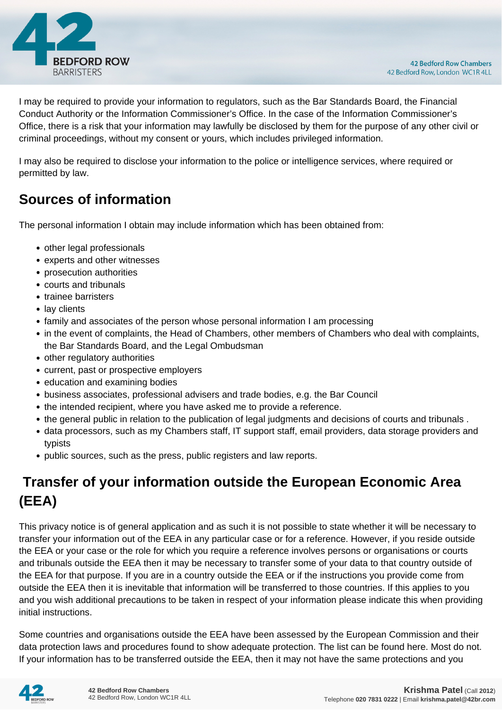

I may be required to provide your information to regulators, such as the Bar Standards Board, the Financial Conduct Authority or the Information Commissioner's Office. In the case of the Information Commissioner's Office, there is a risk that your information may lawfully be disclosed by them for the purpose of any other civil or criminal proceedings, without my consent or yours, which includes privileged information.

I may also be required to disclose your information to the police or intelligence services, where required or permitted by law.

# **Sources of information**

The personal information I obtain may include information which has been obtained from:

- other legal professionals
- experts and other witnesses
- prosecution authorities
- courts and tribunals
- trainee barristers
- lay clients
- family and associates of the person whose personal information I am processing
- in the event of complaints, the Head of Chambers, other members of Chambers who deal with complaints, the Bar Standards Board, and the Legal Ombudsman
- other regulatory authorities
- current, past or prospective employers
- education and examining bodies
- business associates, professional advisers and trade bodies, e.g. the Bar Council
- the intended recipient, where you have asked me to provide a reference.
- the general public in relation to the publication of legal judgments and decisions of courts and tribunals .
- data processors, such as my Chambers staff, IT support staff, email providers, data storage providers and typists
- public sources, such as the press, public registers and law reports.

# **Transfer of your information outside the European Economic Area (EEA)**

This privacy notice is of general application and as such it is not possible to state whether it will be necessary to transfer your information out of the EEA in any particular case or for a reference. However, if you reside outside the EEA or your case or the role for which you require a reference involves persons or organisations or courts and tribunals outside the EEA then it may be necessary to transfer some of your data to that country outside of the EEA for that purpose. If you are in a country outside the EEA or if the instructions you provide come from outside the EEA then it is inevitable that information will be transferred to those countries. If this applies to you and you wish additional precautions to be taken in respect of your information please indicate this when providing initial instructions.

Some countries and organisations outside the EEA have been assessed by the European Commission and their data protection laws and procedures found to show adequate protection. The list can be found here. Most do not. If your information has to be transferred outside the EEA, then it may not have the same protections and you

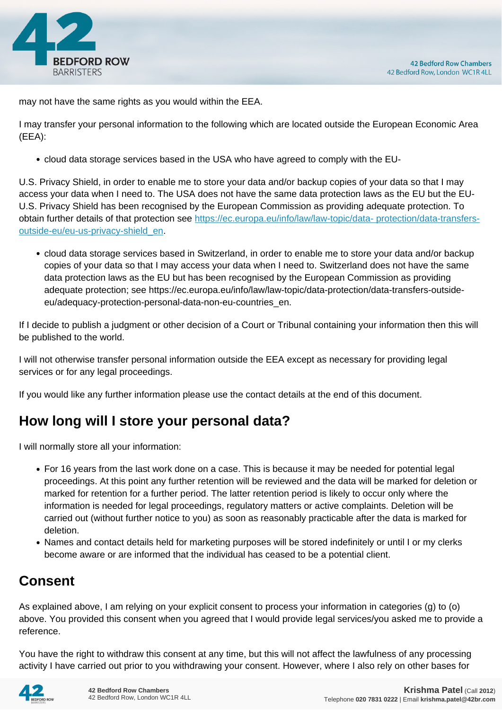

may not have the same rights as you would within the EEA.

I may transfer your personal information to the following which are located outside the European Economic Area (EEA):

cloud data storage services based in the USA who have agreed to comply with the EU-

U.S. Privacy Shield, in order to enable me to store your data and/or backup copies of your data so that I may access your data when I need to. The USA does not have the same data protection laws as the EU but the EU-U.S. Privacy Shield has been recognised by the European Commission as providing adequate protection. To obtain further details of that protection see [https://ec.europa.eu/info/law/law-topic/data- protection/data-transfers](https://ec.europa.eu/info/law/law-topic/data- protection/data-transfers-outside-eu/eu-us-privacy-shield_en)[outside-eu/eu-us-privacy-shield\\_en.](https://ec.europa.eu/info/law/law-topic/data- protection/data-transfers-outside-eu/eu-us-privacy-shield_en)

cloud data storage services based in Switzerland, in order to enable me to store your data and/or backup copies of your data so that I may access your data when I need to. Switzerland does not have the same data protection laws as the EU but has been recognised by the European Commission as providing adequate protection; see https://ec.europa.eu/info/law/law-topic/data-protection/data-transfers-outsideeu/adequacy-protection-personal-data-non-eu-countries\_en.

If I decide to publish a judgment or other decision of a Court or Tribunal containing your information then this will be published to the world.

I will not otherwise transfer personal information outside the EEA except as necessary for providing legal services or for any legal proceedings.

If you would like any further information please use the contact details at the end of this document.

# **How long will I store your personal data?**

I will normally store all your information:

- For 16 years from the last work done on a case. This is because it may be needed for potential legal proceedings. At this point any further retention will be reviewed and the data will be marked for deletion or marked for retention for a further period. The latter retention period is likely to occur only where the information is needed for legal proceedings, regulatory matters or active complaints. Deletion will be carried out (without further notice to you) as soon as reasonably practicable after the data is marked for deletion.
- Names and contact details held for marketing purposes will be stored indefinitely or until I or my clerks become aware or are informed that the individual has ceased to be a potential client.

# **Consent**

As explained above, I am relying on your explicit consent to process your information in categories (g) to (o) above. You provided this consent when you agreed that I would provide legal services/you asked me to provide a reference.

You have the right to withdraw this consent at any time, but this will not affect the lawfulness of any processing activity I have carried out prior to you withdrawing your consent. However, where I also rely on other bases for

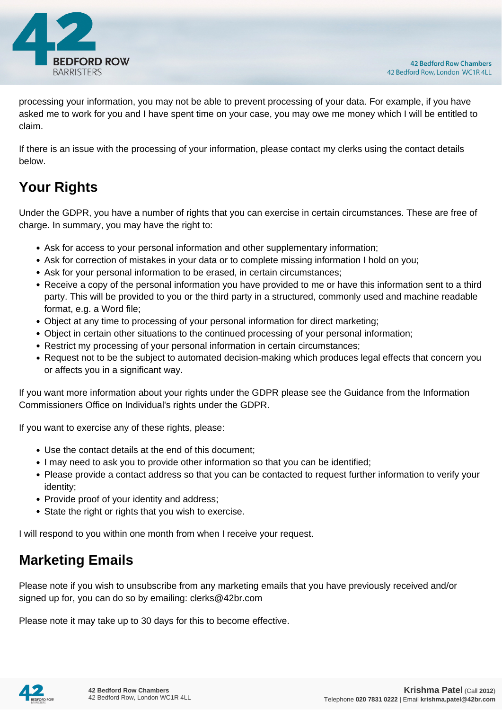

processing your information, you may not be able to prevent processing of your data. For example, if you have asked me to work for you and I have spent time on your case, you may owe me money which I will be entitled to claim.

If there is an issue with the processing of your information, please contact my clerks using the contact details below.

# **Your Rights**

Under the GDPR, you have a number of rights that you can exercise in certain circumstances. These are free of charge. In summary, you may have the right to:

- Ask for access to your personal information and other supplementary information;
- Ask for correction of mistakes in your data or to complete missing information I hold on you;
- Ask for your personal information to be erased, in certain circumstances;
- Receive a copy of the personal information you have provided to me or have this information sent to a third party. This will be provided to you or the third party in a structured, commonly used and machine readable format, e.g. a Word file;
- Object at any time to processing of your personal information for direct marketing;
- Object in certain other situations to the continued processing of your personal information;
- Restrict my processing of your personal information in certain circumstances;
- Request not to be the subject to automated decision-making which produces legal effects that concern you or affects you in a significant way.

If you want more information about your rights under the GDPR please see the Guidance from the Information Commissioners Office on Individual's rights under the GDPR.

If you want to exercise any of these rights, please:

- Use the contact details at the end of this document;
- I may need to ask you to provide other information so that you can be identified;
- Please provide a contact address so that you can be contacted to request further information to verify your identity;
- Provide proof of your identity and address;
- State the right or rights that you wish to exercise.

I will respond to you within one month from when I receive your request.

## **Marketing Emails**

Please note if you wish to unsubscribe from any marketing emails that you have previously received and/or signed up for, you can do so by emailing: clerks@42br.com

Please note it may take up to 30 days for this to become effective.